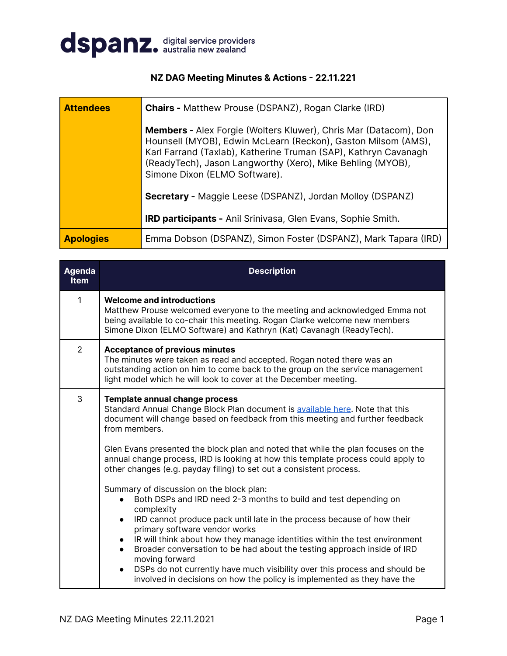

## **NZ DAG Meeting Minutes & Actions - 22.11.221**

| <b>Attendees</b> | <b>Chairs - Matthew Prouse (DSPANZ), Rogan Clarke (IRD)</b>                                                                                                                                                                                                                                                |  |  |  |
|------------------|------------------------------------------------------------------------------------------------------------------------------------------------------------------------------------------------------------------------------------------------------------------------------------------------------------|--|--|--|
|                  | <b>Members - Alex Forgie (Wolters Kluwer), Chris Mar (Datacom), Don</b><br>Hounsell (MYOB), Edwin McLearn (Reckon), Gaston Milsom (AMS),<br>Karl Farrand (Taxlab), Katherine Truman (SAP), Kathryn Cavanagh<br>(ReadyTech), Jason Langworthy (Xero), Mike Behling (MYOB),<br>Simone Dixon (ELMO Software). |  |  |  |
|                  | Secretary - Maggie Leese (DSPANZ), Jordan Molloy (DSPANZ)                                                                                                                                                                                                                                                  |  |  |  |
|                  | <b>IRD participants - Anil Srinivasa, Glen Evans, Sophie Smith.</b>                                                                                                                                                                                                                                        |  |  |  |
| <b>Apologies</b> | Emma Dobson (DSPANZ), Simon Foster (DSPANZ), Mark Tapara (IRD)                                                                                                                                                                                                                                             |  |  |  |

| <b>Agenda</b><br><b>Item</b> | <b>Description</b>                                                                                                                                                                                                                                                                                                                                                                                                                                                                                                                                                                                                                                                                                                                                                                                                                                                                                                                                                                                                                                                                   |
|------------------------------|--------------------------------------------------------------------------------------------------------------------------------------------------------------------------------------------------------------------------------------------------------------------------------------------------------------------------------------------------------------------------------------------------------------------------------------------------------------------------------------------------------------------------------------------------------------------------------------------------------------------------------------------------------------------------------------------------------------------------------------------------------------------------------------------------------------------------------------------------------------------------------------------------------------------------------------------------------------------------------------------------------------------------------------------------------------------------------------|
| $\mathbf{1}$                 | <b>Welcome and introductions</b><br>Matthew Prouse welcomed everyone to the meeting and acknowledged Emma not<br>being available to co-chair this meeting. Rogan Clarke welcome new members<br>Simone Dixon (ELMO Software) and Kathryn (Kat) Cavanagh (ReadyTech).                                                                                                                                                                                                                                                                                                                                                                                                                                                                                                                                                                                                                                                                                                                                                                                                                  |
| $\overline{2}$               | <b>Acceptance of previous minutes</b><br>The minutes were taken as read and accepted. Rogan noted there was an<br>outstanding action on him to come back to the group on the service management<br>light model which he will look to cover at the December meeting.                                                                                                                                                                                                                                                                                                                                                                                                                                                                                                                                                                                                                                                                                                                                                                                                                  |
| 3                            | Template annual change process<br>Standard Annual Change Block Plan document is available here. Note that this<br>document will change based on feedback from this meeting and further feedback<br>from members.<br>Glen Evans presented the block plan and noted that while the plan focuses on the<br>annual change process, IRD is looking at how this template process could apply to<br>other changes (e.g. payday filing) to set out a consistent process.<br>Summary of discussion on the block plan:<br>Both DSPs and IRD need 2-3 months to build and test depending on<br>complexity<br>IRD cannot produce pack until late in the process because of how their<br>$\bullet$<br>primary software vendor works<br>IR will think about how they manage identities within the test environment<br>$\bullet$<br>Broader conversation to be had about the testing approach inside of IRD<br>moving forward<br>DSPs do not currently have much visibility over this process and should be<br>$\bullet$<br>involved in decisions on how the policy is implemented as they have the |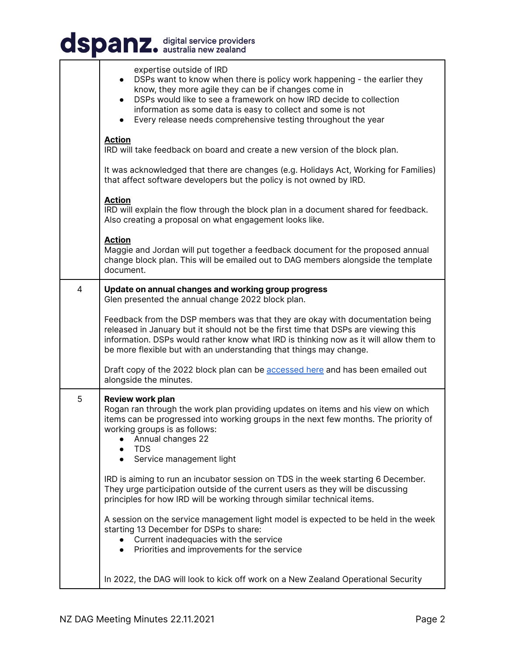| dspanz. digital service providers |                                                                                                                                                                                                                                                                                                                                                                    |  |  |
|-----------------------------------|--------------------------------------------------------------------------------------------------------------------------------------------------------------------------------------------------------------------------------------------------------------------------------------------------------------------------------------------------------------------|--|--|
|                                   | expertise outside of IRD<br>DSPs want to know when there is policy work happening - the earlier they<br>know, they more agile they can be if changes come in<br>DSPs would like to see a framework on how IRD decide to collection<br>information as some data is easy to collect and some is not<br>Every release needs comprehensive testing throughout the year |  |  |
|                                   | <b>Action</b><br>IRD will take feedback on board and create a new version of the block plan.                                                                                                                                                                                                                                                                       |  |  |
|                                   | It was acknowledged that there are changes (e.g. Holidays Act, Working for Families)<br>that affect software developers but the policy is not owned by IRD.                                                                                                                                                                                                        |  |  |
|                                   | <b>Action</b><br>IRD will explain the flow through the block plan in a document shared for feedback.<br>Also creating a proposal on what engagement looks like.                                                                                                                                                                                                    |  |  |
|                                   | <b>Action</b><br>Maggie and Jordan will put together a feedback document for the proposed annual<br>change block plan. This will be emailed out to DAG members alongside the template<br>document.                                                                                                                                                                 |  |  |
| 4                                 | Update on annual changes and working group progress<br>Glen presented the annual change 2022 block plan.                                                                                                                                                                                                                                                           |  |  |
|                                   | Feedback from the DSP members was that they are okay with documentation being<br>released in January but it should not be the first time that DSPs are viewing this<br>information. DSPs would rather know what IRD is thinking now as it will allow them to<br>be more flexible but with an understanding that things may change.                                 |  |  |
|                                   | Draft copy of the 2022 block plan can be accessed here and has been emailed out<br>alongside the minutes.                                                                                                                                                                                                                                                          |  |  |
| 5                                 | <b>Review work plan</b><br>Rogan ran through the work plan providing updates on items and his view on which<br>items can be progressed into working groups in the next few months. The priority of<br>working groups is as follows:<br>Annual changes 22<br><b>TDS</b><br>Service management light                                                                 |  |  |
|                                   | IRD is aiming to run an incubator session on TDS in the week starting 6 December.<br>They urge participation outside of the current users as they will be discussing<br>principles for how IRD will be working through similar technical items.                                                                                                                    |  |  |
|                                   | A session on the service management light model is expected to be held in the week<br>starting 13 December for DSPs to share:<br>Current inadequacies with the service<br>Priorities and improvements for the service<br>$\bullet$                                                                                                                                 |  |  |
|                                   | In 2022, the DAG will look to kick off work on a New Zealand Operational Security                                                                                                                                                                                                                                                                                  |  |  |